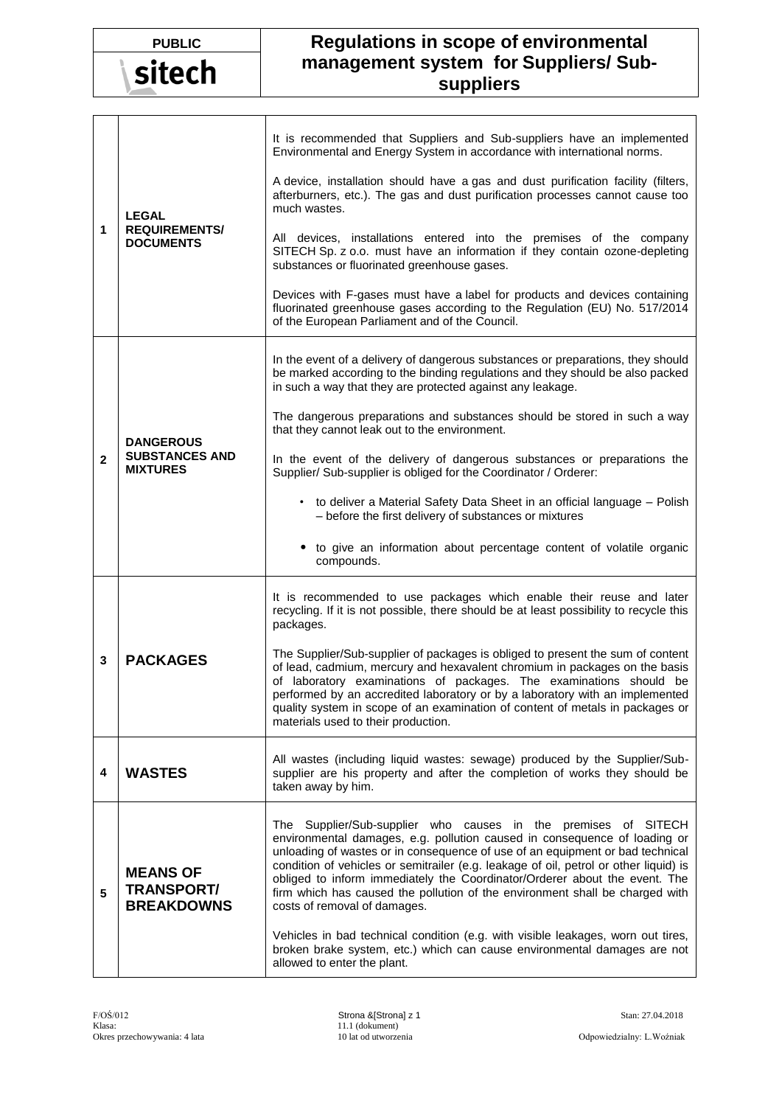| <b>PUBLIC</b> |  |
|---------------|--|
| sitech        |  |

## **PUBLIC Regulations in scope of environmental management system for Suppliers/ Subsuppliers**

| 1 | <b>LEGAL</b><br><b>REQUIREMENTS/</b><br><b>DOCUMENTS</b>     | It is recommended that Suppliers and Sub-suppliers have an implemented<br>Environmental and Energy System in accordance with international norms.<br>A device, installation should have a gas and dust purification facility (filters,<br>afterburners, etc.). The gas and dust purification processes cannot cause too<br>much wastes.<br>All devices, installations entered into the premises of the company<br>SITECH Sp. z o.o. must have an information if they contain ozone-depleting<br>substances or fluorinated greenhouse gases.<br>Devices with F-gases must have a label for products and devices containing<br>fluorinated greenhouse gases according to the Regulation (EU) No. 517/2014<br>of the European Parliament and of the Council. |
|---|--------------------------------------------------------------|-----------------------------------------------------------------------------------------------------------------------------------------------------------------------------------------------------------------------------------------------------------------------------------------------------------------------------------------------------------------------------------------------------------------------------------------------------------------------------------------------------------------------------------------------------------------------------------------------------------------------------------------------------------------------------------------------------------------------------------------------------------|
| 2 | <b>DANGEROUS</b><br><b>SUBSTANCES AND</b><br><b>MIXTURES</b> | In the event of a delivery of dangerous substances or preparations, they should<br>be marked according to the binding regulations and they should be also packed<br>in such a way that they are protected against any leakage.<br>The dangerous preparations and substances should be stored in such a way<br>that they cannot leak out to the environment.<br>In the event of the delivery of dangerous substances or preparations the<br>Supplier/ Sub-supplier is obliged for the Coordinator / Orderer:<br>• to deliver a Material Safety Data Sheet in an official language - Polish<br>- before the first delivery of substances or mixtures<br>to give an information about percentage content of volatile organic<br>compounds.                   |
| 3 | <b>PACKAGES</b>                                              | It is recommended to use packages which enable their reuse and later<br>recycling. If it is not possible, there should be at least possibility to recycle this<br>packages.<br>The Supplier/Sub-supplier of packages is obliged to present the sum of content<br>of lead, cadmium, mercury and hexavalent chromium in packages on the basis<br>of laboratory examinations of packages. The examinations should be<br>performed by an accredited laboratory or by a laboratory with an implemented<br>quality system in scope of an examination of content of metals in packages or<br>materials used to their production.                                                                                                                                 |
| 4 | <b>WASTES</b>                                                | All wastes (including liquid wastes: sewage) produced by the Supplier/Sub-<br>supplier are his property and after the completion of works they should be<br>taken away by him.                                                                                                                                                                                                                                                                                                                                                                                                                                                                                                                                                                            |
| 5 | <b>MEANS OF</b><br><b>TRANSPORT/</b><br><b>BREAKDOWNS</b>    | The Supplier/Sub-supplier who causes in the premises of SITECH<br>environmental damages, e.g. pollution caused in consequence of loading or<br>unloading of wastes or in consequence of use of an equipment or bad technical<br>condition of vehicles or semitrailer (e.g. leakage of oil, petrol or other liquid) is<br>obliged to inform immediately the Coordinator/Orderer about the event. The<br>firm which has caused the pollution of the environment shall be charged with<br>costs of removal of damages.<br>Vehicles in bad technical condition (e.g. with visible leakages, worn out tires,<br>broken brake system, etc.) which can cause environmental damages are not<br>allowed to enter the plant.                                        |